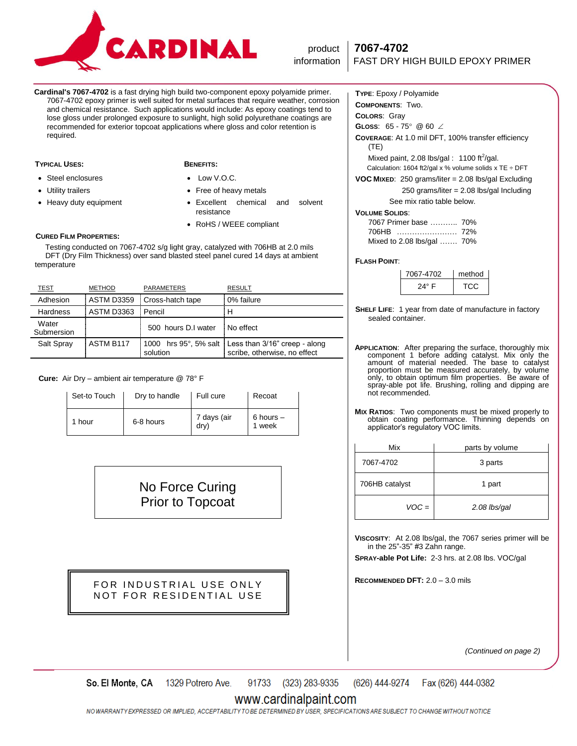

# product **7067-4702**

**Cardinal's 7067-4702** is a fast drying high build two-component epoxy polyamide primer. 7067-4702 epoxy primer is well suited for metal surfaces that require weather, corrosion and chemical resistance. Such applications would include: As epoxy coatings tend to lose gloss under prolonged exposure to sunlight, high solid polyurethane coatings are recommended for exterior topcoat applications where gloss and color retention is required.

#### **TYPICAL USES: BENEFITS:**

 Steel enclosures Utility trailers

- Low V.O.C.
- Free of heavy metals
- Excellent chemical and solvent resistance
- RoHS / WEEE compliant

#### **CURED FILM PROPERTIES:**

• Heavy duty equipment

 Testing conducted on 7067-4702 s/g light gray, catalyzed with 706HB at 2.0 mils DFT (Dry Film Thickness) over sand blasted steel panel cured 14 days at ambient temperature

| TEST                | <b>METHOD</b> | <b>PARAMETERS</b>   | <b>RESULT</b>                                                                         |
|---------------------|---------------|---------------------|---------------------------------------------------------------------------------------|
| Adhesion            | ASTM D3359    | Cross-hatch tape    | 0% failure                                                                            |
| <b>Hardness</b>     | ASTM D3363    | Pencil              | н                                                                                     |
| Water<br>Submersion |               | 500 hours D.I water | No effect                                                                             |
| Salt Spray          | ASTM B117     | solution            | 1000 hrs 95°, 5% salt   Less than 3/16" creep - along<br>scribe, otherwise, no effect |

#### **Cure:** Air Dry – ambient air temperature @ 78° F

| Set-to Touch | Dry to handle | Full cure           | Recoat                  |
|--------------|---------------|---------------------|-------------------------|
| 1 hour       | 6-8 hours     | 7 days (air<br>dry) | $6$ hours $-$<br>1 week |

No Force Curing Prior to Topcoat

## FOR INDUSTRIAL USE ONLY NOT FOR RESIDENTIAL USE

#### **TYPE**: Epoxy / Polyamide **COMPONENTS**: Two.

# **COLORS**: Gray

**GLOSS:**  $65 - 75^{\circ}$  @  $60 \angle$ 

**COVERAGE**: At 1.0 mil DFT, 100% transfer efficiency (TE)

Mixed paint, 2.08 lbs/gal :  $1100 \text{ ft}^2\text{/gal.}$ 

Calculation: 1604 ft2/gal x % volume solids x TE  $\div$  DFT

**VOC MIXED**: 250 grams/liter = 2.08 lbs/gal Excluding

250 grams/liter = 2.08 lbs/gal Including

See mix ratio table below.

#### **VOLUME SOLIDS**:

| 7067 Primer base  70%      |  |
|----------------------------|--|
|                            |  |
| Mixed to 2.08 lbs/gal  70% |  |

#### **FLASH POINT**:

| 7067-4702 | method |
|-----------|--------|
| 24° F     | TCC    |

- **SHELF LIFE**: 1 year from date of manufacture in factory sealed container.
- **APPLICATION**: After preparing the surface, thoroughly mix component 1 before adding catalyst. Mix only the amount of material needed. The base to catalyst proportion must be measured accurately, by volume only, to obtain optimum film properties. Be aware of spray-able pot life. Brushing, rolling and dipping are not recommended.
- **MIX RATIOS**: Two components must be mixed properly to obtain coating performance. Thinning depends on applicator's regulatory VOC limits.

| Mix            | parts by volume |
|----------------|-----------------|
| 7067-4702      | 3 parts         |
| 706HB catalyst | 1 part          |
| $VOC =$        | 2.08 lbs/gal    |

**VISCOSITY**: At 2.08 lbs/gal, the 7067 series primer will be in the 25"-35" #3 Zahn range.

**SPRAY-able Pot Life:** 2-3 hrs. at 2.08 lbs. VOC/gal

**RECOMMENDED DFT:** 2.0 – 3.0 mils

*(Continued on page 2)*

1329 Potrero Ave. 91733 (323) 283-9335 (626) 444-9274 So. El Monte, CA Fax (626) 444-0382

# www.cardinalpaint.com

NO WARRANTY EXPRESSED OR IMPLIED, ACCEPTABILITY TO BE DETERMINED BY USER, SPECIFICATIONS ARE SUBJECT TO CHANGE WITHOUT NOTICE